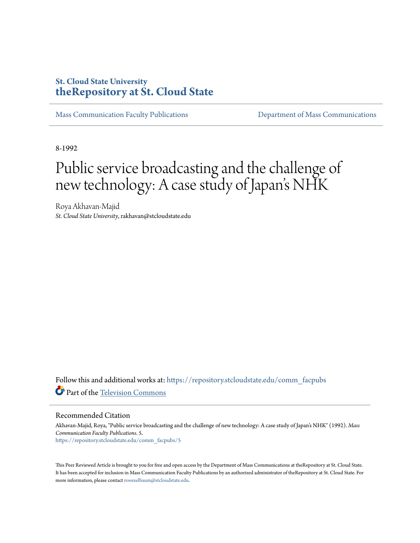### **St. Cloud State University [theRepository at St. Cloud State](https://repository.stcloudstate.edu?utm_source=repository.stcloudstate.edu%2Fcomm_facpubs%2F5&utm_medium=PDF&utm_campaign=PDFCoverPages)**

[Mass Communication Faculty Publications](https://repository.stcloudstate.edu/comm_facpubs?utm_source=repository.stcloudstate.edu%2Fcomm_facpubs%2F5&utm_medium=PDF&utm_campaign=PDFCoverPages) [Department of Mass Communications](https://repository.stcloudstate.edu/comm?utm_source=repository.stcloudstate.edu%2Fcomm_facpubs%2F5&utm_medium=PDF&utm_campaign=PDFCoverPages)

8-1992

## Public service broadcasting and the challenge of new technology: A case study of Japan 's NHK

Roya Akhavan-Majid *St. Cloud State University*, rakhavan@stcloudstate.edu

Follow this and additional works at: [https://repository.stcloudstate.edu/comm\\_facpubs](https://repository.stcloudstate.edu/comm_facpubs?utm_source=repository.stcloudstate.edu%2Fcomm_facpubs%2F5&utm_medium=PDF&utm_campaign=PDFCoverPages) Part of the [Television Commons](http://network.bepress.com/hgg/discipline/1143?utm_source=repository.stcloudstate.edu%2Fcomm_facpubs%2F5&utm_medium=PDF&utm_campaign=PDFCoverPages)

Recommended Citation

Akhavan-Majid, Roya, "Public service broadcasting and the challenge of new technology: A case study of Japan's NHK" (1992). *Mass Communication Faculty Publications*. 5. [https://repository.stcloudstate.edu/comm\\_facpubs/5](https://repository.stcloudstate.edu/comm_facpubs/5?utm_source=repository.stcloudstate.edu%2Fcomm_facpubs%2F5&utm_medium=PDF&utm_campaign=PDFCoverPages)

This Peer Reviewed Article is brought to you for free and open access by the Department of Mass Communications at theRepository at St. Cloud State. It has been accepted for inclusion in Mass Communication Faculty Publications by an authorized administrator of theRepository at St. Cloud State. For more information, please contact [rswexelbaum@stcloudstate.edu](mailto:rswexelbaum@stcloudstate.edu).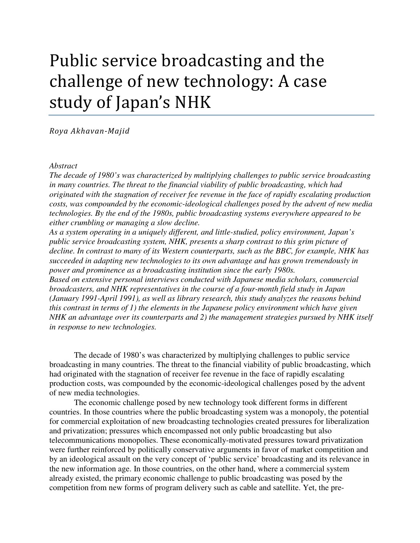# Public service broadcasting and the challenge of new technology: A case study of Japan's NHK

Roya Akhavan-Majid

#### *Abstract*

*The decade of 1980's was characterized by multiplying challenges to public service broadcasting in many countries. The threat to the financial viability of public broadcasting, which had originated with the stagnation of receiver fee revenue in the face of rapidly escalating production costs, was compounded by the economic-ideological challenges posed by the advent of new media technologies. By the end of the 1980s, public broadcasting systems everywhere appeared to be either crumbling or managing a slow decline.* 

*As a system operating in a uniquely different, and little-studied, policy environment, Japan's public service broadcasting system, NHK, presents a sharp contrast to this grim picture of decline. In contrast to many of its Western counterparts, such as the BBC, for example, NHK has succeeded in adapting new technologies to its own advantage and has grown tremendously in power and prominence as a broadcasting institution since the early 1980s. Based on extensive personal interviews conducted with Japanese media scholars, commercial broadcasters, and NHK representatives in the course of a four-month field study in Japan (January 1991-April 1991), as well as library research, this study analyzes the reasons behind this contrast in terms of 1) the elements in the Japanese policy environment which have given NHK an advantage over its counterparts and 2) the management strategies pursued by NHK itself in response to new technologies.* 

The decade of 1980's was characterized by multiplying challenges to public service broadcasting in many countries. The threat to the financial viability of public broadcasting, which had originated with the stagnation of receiver fee revenue in the face of rapidly escalating production costs, was compounded by the economic-ideological challenges posed by the advent of new media technologies.

The economic challenge posed by new technology took different forms in different countries. In those countries where the public broadcasting system was a monopoly, the potential for commercial exploitation of new broadcasting technologies created pressures for liberalization and privatization; pressures which encompassed not only public broadcasting but also telecommunications monopolies. These economically-motivated pressures toward privatization were further reinforced by politically conservative arguments in favor of market competition and by an ideological assault on the very concept of 'public service' broadcasting and its relevance in the new information age. In those countries, on the other hand, where a commercial system already existed, the primary economic challenge to public broadcasting was posed by the competition from new forms of program delivery such as cable and satellite. Yet, the pre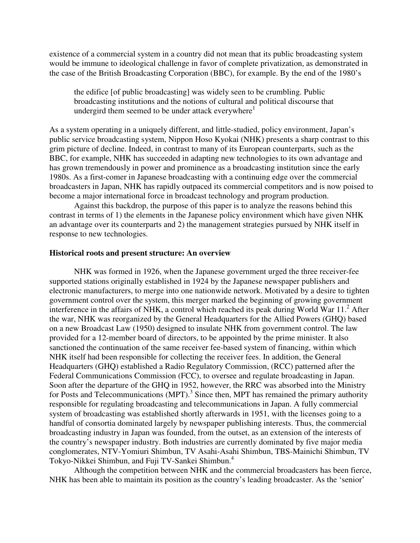existence of a commercial system in a country did not mean that its public broadcasting system would be immune to ideological challenge in favor of complete privatization, as demonstrated in the case of the British Broadcasting Corporation (BBC), for example. By the end of the 1980's

the edifice [of public broadcasting] was widely seen to be crumbling. Public broadcasting institutions and the notions of cultural and political discourse that undergird them seemed to be under attack everywhere<sup>1</sup>

As a system operating in a uniquely different, and little-studied, policy environment, Japan's public service broadcasting system, Nippon Hoso Kyokai (NHK) presents a sharp contrast to this grim picture of decline. Indeed, in contrast to many of its European counterparts, such as the BBC, for example, NHK has succeeded in adapting new technologies to its own advantage and has grown tremendously in power and prominence as a broadcasting institution since the early 1980s. As a first-comer in Japanese broadcasting with a continuing edge over the commercial broadcasters in Japan, NHK has rapidly outpaced its commercial competitors and is now poised to become a major international force in broadcast technology and program production.

Against this backdrop, the purpose of this paper is to analyze the reasons behind this contrast in terms of 1) the elements in the Japanese policy environment which have given NHK an advantage over its counterparts and 2) the management strategies pursued by NHK itself in response to new technologies.

#### **Historical roots and present structure: An overview**

NHK was formed in 1926, when the Japanese government urged the three receiver-fee supported stations originally established in 1924 by the Japanese newspaper publishers and electronic manufacturers, to merge into one nationwide network. Motivated by a desire to tighten government control over the system, this merger marked the beginning of growing government interference in the affairs of NHK, a control which reached its peak during World War 11.<sup>2</sup> After the war, NHK was reorganized by the General Headquarters for the Allied Powers (GHQ) based on a new Broadcast Law (1950) designed to insulate NHK from government control. The law provided for a 12-member board of directors, to be appointed by the prime minister. It also sanctioned the continuation of the same receiver fee-based system of financing, within which NHK itself had been responsible for collecting the receiver fees. In addition, the General Headquarters (GHQ) established a Radio Regulatory Commission, (RCC) patterned after the Federal Communications Commission (FCC), to oversee and regulate broadcasting in Japan. Soon after the departure of the GHQ in 1952, however, the RRC was absorbed into the Ministry for Posts and Telecommunications (MPT).<sup>3</sup> Since then, MPT has remained the primary authority responsible for regulating broadcasting and telecommunications in Japan. A fully commercial system of broadcasting was established shortly afterwards in 1951, with the licenses going to a handful of consortia dominated largely by newspaper publishing interests. Thus, the commercial broadcasting industry in Japan was founded, from the outset, as an extension of the interests of the country's newspaper industry. Both industries are currently dominated by five major media conglomerates, NTV-Yomiuri Shimbun, TV Asahi-Asahi Shimbun, TBS-Mainichi Shimbun, TV Tokyo-Nikkei Shimbun, and Fuji TV-Sankei Shimbun.<sup>4</sup>

Although the competition between NHK and the commercial broadcasters has been fierce, NHK has been able to maintain its position as the country's leading broadcaster. As the 'senior'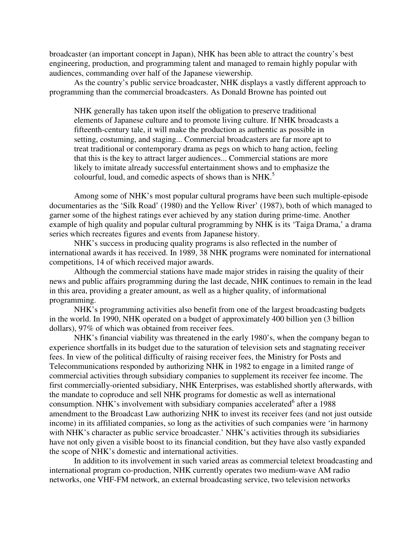broadcaster (an important concept in Japan), NHK has been able to attract the country's best engineering, production, and programming talent and managed to remain highly popular with audiences, commanding over half of the Japanese viewership.

As the country's public service broadcaster, NHK displays a vastly different approach to programming than the commercial broadcasters. As Donald Browne has pointed out

NHK generally has taken upon itself the obligation to preserve traditional elements of Japanese culture and to promote living culture. If NHK broadcasts a fifteenth-century tale, it will make the production as authentic as possible in setting, costuming, and staging... Commercial broadcasters are far more apt to treat traditional or contemporary drama as pegs on which to hang action, feeling that this is the key to attract larger audiences... Commercial stations are more likely to imitate already successful entertainment shows and to emphasize the colourful, loud, and comedic aspects of shows than is NHK.<sup>5</sup>

Among some of NHK's most popular cultural programs have been such multiple-episode documentaries as the 'Silk Road' (1980) and the Yellow River' (1987), both of which managed to garner some of the highest ratings ever achieved by any station during prime-time. Another example of high quality and popular cultural programming by NHK is its 'Taiga Drama,' a drama series which recreates figures and events from Japanese history.

NHK's success in producing quality programs is also reflected in the number of international awards it has received. In 1989, 38 NHK programs were nominated for international competitions, 14 of which received major awards.

Although the commercial stations have made major strides in raising the quality of their news and public affairs programming during the last decade, NHK continues to remain in the lead in this area, providing a greater amount, as well as a higher quality, of informational programming.

NHK's programming activities also benefit from one of the largest broadcasting budgets in the world. In 1990, NHK operated on a budget of approximately 400 billion yen (3 billion dollars), 97% of which was obtained from receiver fees.

NHK's financial viability was threatened in the early 1980's, when the company began to experience shortfalls in its budget due to the saturation of television sets and stagnating receiver fees. In view of the political difficulty of raising receiver fees, the Ministry for Posts and Telecommunications responded by authorizing NHK in 1982 to engage in a limited range of commercial activities through subsidiary companies to supplement its receiver fee income. The first commercially-oriented subsidiary, NHK Enterprises, was established shortly afterwards, with the mandate to coproduce and sell NHK programs for domestic as well as international consumption. NHK's involvement with subsidiary companies accelerated $6$  after a 1988 amendment to the Broadcast Law authorizing NHK to invest its receiver fees (and not just outside income) in its affiliated companies, so long as the activities of such companies were 'in harmony with NHK's character as public service broadcaster.' NHK's activities through its subsidiaries have not only given a visible boost to its financial condition, but they have also vastly expanded the scope of NHK's domestic and international activities.

In addition to its involvement in such varied areas as commercial teletext broadcasting and international program co-production, NHK currently operates two medium-wave AM radio networks, one VHF-FM network, an external broadcasting service, two television networks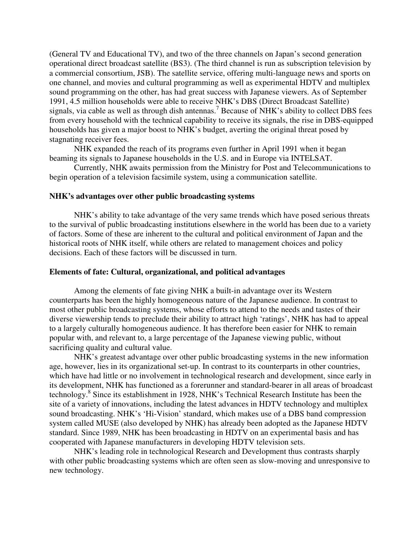(General TV and Educational TV), and two of the three channels on Japan's second generation operational direct broadcast satellite (BS3). (The third channel is run as subscription television by a commercial consortium, JSB). The satellite service, offering multi-language news and sports on one channel, and movies and cultural programming as well as experimental HDTV and multiplex sound programming on the other, has had great success with Japanese viewers. As of September 1991, 4.5 million households were able to receive NHK's DBS (Direct Broadcast Satellite) signals, via cable as well as through dish antennas.<sup>7</sup> Because of NHK's ability to collect DBS fees from every household with the technical capability to receive its signals, the rise in DBS-equipped households has given a major boost to NHK's budget, averting the original threat posed by stagnating receiver fees.

NHK expanded the reach of its programs even further in April 1991 when it began beaming its signals to Japanese households in the U.S. and in Europe via INTELSAT.

Currently, NHK awaits permission from the Ministry for Post and Telecommunications to begin operation of a television facsimile system, using a communication satellite.

#### **NHK's advantages over other public broadcasting systems**

NHK's ability to take advantage of the very same trends which have posed serious threats to the survival of public broadcasting institutions elsewhere in the world has been due to a variety of factors. Some of these are inherent to the cultural and political environment of Japan and the historical roots of NHK itself, while others are related to management choices and policy decisions. Each of these factors will be discussed in turn.

#### **Elements of fate: Cultural, organizational, and political advantages**

Among the elements of fate giving NHK a built-in advantage over its Western counterparts has been the highly homogeneous nature of the Japanese audience. In contrast to most other public broadcasting systems, whose efforts to attend to the needs and tastes of their diverse viewership tends to preclude their ability to attract high 'ratings', NHK has had to appeal to a largely culturally homogeneous audience. It has therefore been easier for NHK to remain popular with, and relevant to, a large percentage of the Japanese viewing public, without sacrificing quality and cultural value.

NHK's greatest advantage over other public broadcasting systems in the new information age, however, lies in its organizational set-up. In contrast to its counterparts in other countries, which have had little or no involvement in technological research and development, since early in its development, NHK has functioned as a forerunner and standard-bearer in all areas of broadcast technology.<sup>8</sup> Since its establishment in 1928, NHK's Technical Research Institute has been the site of a variety of innovations, including the latest advances in HDTV technology and multiplex sound broadcasting. NHK's 'Hi-Vision' standard, which makes use of a DBS band compression system called MUSE (also developed by NHK) has already been adopted as the Japanese HDTV standard. Since 1989, NHK has been broadcasting in HDTV on an experimental basis and has cooperated with Japanese manufacturers in developing HDTV television sets.

NHK's leading role in technological Research and Development thus contrasts sharply with other public broadcasting systems which are often seen as slow-moving and unresponsive to new technology.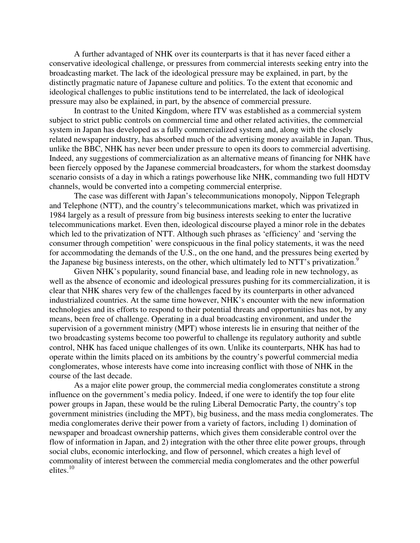A further advantaged of NHK over its counterparts is that it has never faced either a conservative ideological challenge, or pressures from commercial interests seeking entry into the broadcasting market. The lack of the ideological pressure may be explained, in part, by the distinctly pragmatic nature of Japanese culture and politics. To the extent that economic and ideological challenges to public institutions tend to be interrelated, the lack of ideological pressure may also be explained, in part, by the absence of commercial pressure.

In contrast to the United Kingdom, where ITV was established as a commercial system subject to strict public controls on commercial time and other related activities, the commercial system in Japan has developed as a fully commercialized system and, along with the closely related newspaper industry, has absorbed much of the advertising money available in Japan. Thus, unlike the BBC, NHK has never been under pressure to open its doors to commercial advertising. Indeed, any suggestions of commercialization as an alternative means of financing for NHK have been fiercely opposed by the Japanese commercial broadcasters, for whom the starkest doomsday scenario consists of a day in which a ratings powerhouse like NHK, commanding two full HDTV channels, would be converted into a competing commercial enterprise.

The case was different with Japan's telecommunications monopoly, Nippon Telegraph and Telephone (NTT), and the country's telecommunications market, which was privatized in 1984 largely as a result of pressure from big business interests seeking to enter the lucrative telecommunications market. Even then, ideological discourse played a minor role in the debates which led to the privatization of NTT. Although such phrases as 'efficiency' and 'serving the consumer through competition' were conspicuous in the final policy statements, it was the need for accommodating the demands of the U.S., on the one hand, and the pressures being exerted by the Japanese big business interests, on the other, which ultimately led to NTT's privatization.<sup>9</sup>

Given NHK's popularity, sound financial base, and leading role in new technology, as well as the absence of economic and ideological pressures pushing for its commercialization, it is clear that NHK shares very few of the challenges faced by its counterparts in other advanced industrialized countries. At the same time however, NHK's encounter with the new information technologies and its efforts to respond to their potential threats and opportunities has not, by any means, been free of challenge. Operating in a dual broadcasting environment, and under the supervision of a government ministry (MPT) whose interests lie in ensuring that neither of the two broadcasting systems become too powerful to challenge its regulatory authority and subtle control, NHK has faced unique challenges of its own. Unlike its counterparts, NHK has had to operate within the limits placed on its ambitions by the country's powerful commercial media conglomerates, whose interests have come into increasing conflict with those of NHK in the course of the last decade.

As a major elite power group, the commercial media conglomerates constitute a strong influence on the government's media policy. Indeed, if one were to identify the top four elite power groups in Japan, these would be the ruling Liberal Democratic Party, the country's top government ministries (including the MPT), big business, and the mass media conglomerates. The media conglomerates derive their power from a variety of factors, including 1) domination of newspaper and broadcast ownership patterns, which gives them considerable control over the flow of information in Japan, and 2) integration with the other three elite power groups, through social clubs, economic interlocking, and flow of personnel, which creates a high level of commonality of interest between the commercial media conglomerates and the other powerful elites.<sup>10</sup>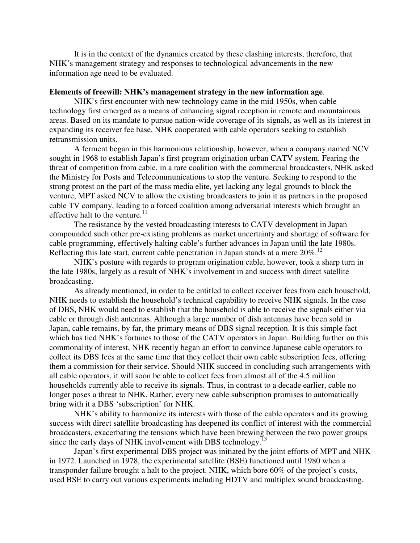It is in the context of the dynamics created by these clashing interests, therefore, that NHK's management strategy and responses to technological advancements in the new information age need to be evaluated.

#### **Elements of freewill: NHK's management strategy in the new information age**.

NHK's first encounter with new technology came in the mid 1950s, when cable technology first emerged as a means of enhancing signal reception in remote and mountainous areas. Based on its mandate to pursue nation-wide coverage of its signals, as well as its interest in expanding its receiver fee base, NHK cooperated with cable operators seeking to establish retransmission units.

A ferment began in this harmonious relationship, however, when a company named NCV sought in 1968 to establish Japan's first program origination urban CATV system. Fearing the threat of competition from cable, in a rare coalition with the commercial broadcasters, NHK asked the Ministry for Posts and Telecommunications to stop the venture. Seeking to respond to the strong protest on the part of the mass media elite, yet lacking any legal grounds to block the venture, MPT asked NCV to allow the existing broadcasters to join it as partners in the proposed cable TV company, leading to a forced coalition among adversarial interests which brought an effective halt to the venture. $11$ 

The resistance by the vested broadcasting interests to CATV development in Japan compounded such other pre-existing problems as market uncertainty and shortage of software for cable programming, effectively halting cable's further advances in Japan until the late 1980s. Reflecting this late start, current cable penetration in Japan stands at a mere  $20\%$ .<sup>12</sup>

NHK's posture with regards to program origination cable, however, took a sharp turn in the late 1980s, largely as a result of NHK's involvement in and success with direct satellite broadcasting.

As already mentioned, in order to be entitled to collect receiver fees from each household, NHK needs to establish the household's technical capability to receive NHK signals. In the case of DBS, NHK would need to establish that the household is able to receive the signals either via cable or through dish antennas. Although a large number of dish antennas have been sold in Japan, cable remains, by far, the primary means of DBS signal reception. It is this simple fact which has tied NHK's fortunes to those of the CATV operators in Japan. Building further on this commonality of interest, NHK recently began an effort to convince Japanese cable operators to collect its DBS fees at the same time that they collect their own cable subscription fees, offering them a commission for their service. Should NHK succeed in concluding such arrangements with all cable operators, it will soon be able to collect fees from almost all of the 4.5 million households currently able to receive its signals. Thus, in contrast to a decade earlier, cable no longer poses a threat to NHK. Rather, every new cable subscription promises to automatically bring with it a DBS 'subscription' for NHK.

NHK's ability to harmonize its interests with those of the cable operators and its growing success with direct satellite broadcasting has deepened its conflict of interest with the commercial broadcasters, exacerbating the tensions which have been brewing between the two power groups since the early days of NHK involvement with DBS technology.<sup>13</sup>

Japan's first experimental DBS project was initiated by the joint efforts of MPT and NHK in 1972. Launched in 1978, the experimental satellite (BSE) functioned until 1980 when a transponder failure brought a halt to the project. NHK, which bore 60% of the project's costs, used BSE to carry out various experiments including HDTV and multiplex sound broadcasting.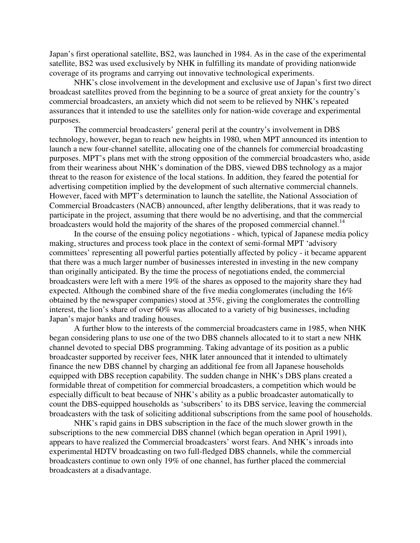Japan's first operational satellite, BS2, was launched in 1984. As in the case of the experimental satellite, BS2 was used exclusively by NHK in fulfilling its mandate of providing nationwide coverage of its programs and carrying out innovative technological experiments.

NHK's close involvement in the development and exclusive use of Japan's first two direct broadcast satellites proved from the beginning to be a source of great anxiety for the country's commercial broadcasters, an anxiety which did not seem to be relieved by NHK's repeated assurances that it intended to use the satellites only for nation-wide coverage and experimental purposes.

The commercial broadcasters' general peril at the country's involvement in DBS technology, however, began to reach new heights in 1980, when MPT announced its intention to launch a new four-channel satellite, allocating one of the channels for commercial broadcasting purposes. MPT's plans met with the strong opposition of the commercial broadcasters who, aside from their weariness about NHK's domination of the DBS, viewed DBS technology as a major threat to the reason for existence of the local stations. In addition, they feared the potential for advertising competition implied by the development of such alternative commercial channels. However, faced with MPT's determination to launch the satellite, the National Association of Commercial Broadcasters (NACB) announced, after lengthy deliberations, that it was ready to participate in the project, assuming that there would be no advertising, and that the commercial broadcasters would hold the majority of the shares of the proposed commercial channel.<sup>14</sup>

In the course of the ensuing policy negotiations - which, typical of Japanese media policy making, structures and process took place in the context of semi-formal MPT 'advisory committees' representing all powerful parties potentially affected by policy - it became apparent that there was a much larger number of businesses interested in investing in the new company than originally anticipated. By the time the process of negotiations ended, the commercial broadcasters were left with a mere 19% of the shares as opposed to the majority share they had expected. Although the combined share of the five media conglomerates (including the 16% obtained by the newspaper companies) stood at 35%, giving the conglomerates the controlling interest, the lion's share of over 60% was allocated to a variety of big businesses, including Japan's major banks and trading houses.

A further blow to the interests of the commercial broadcasters came in 1985, when NHK began considering plans to use one of the two DBS channels allocated to it to start a new NHK channel devoted to special DBS programming. Taking advantage of its position as a public broadcaster supported by receiver fees, NHK later announced that it intended to ultimately finance the new DBS channel by charging an additional fee from all Japanese households equipped with DBS reception capability. The sudden change in NHK's DBS plans created a formidable threat of competition for commercial broadcasters, a competition which would be especially difficult to beat because of NHK's ability as a public broadcaster automatically to count the DBS-equipped households as 'subscribers' to its DBS service, leaving the commercial broadcasters with the task of soliciting additional subscriptions from the same pool of households.

NHK's rapid gains in DBS subscription in the face of the much slower growth in the subscriptions to the new commercial DBS channel (which began operation in April 1991), appears to have realized the Commercial broadcasters' worst fears. And NHK's inroads into experimental HDTV broadcasting on two full-fledged DBS channels, while the commercial broadcasters continue to own only 19% of one channel, has further placed the commercial broadcasters at a disadvantage.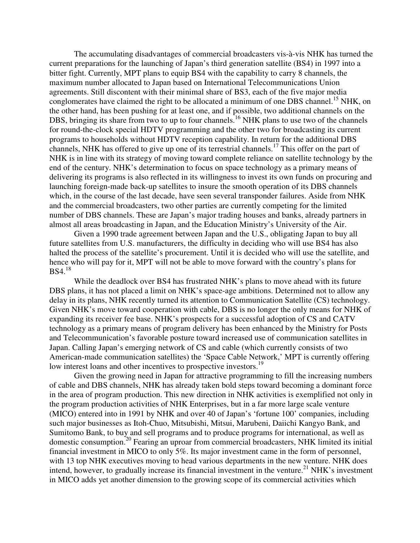The accumulating disadvantages of commercial broadcasters vis-à-vis NHK has turned the current preparations for the launching of Japan's third generation satellite (BS4) in 1997 into a bitter fight. Currently, MPT plans to equip BS4 with the capability to carry 8 channels, the maximum number allocated to Japan based on International Telecommunications Union agreements. Still discontent with their minimal share of BS3, each of the five major media conglomerates have claimed the right to be allocated a minimum of one DBS channel.<sup>15</sup> NHK, on the other hand, has been pushing for at least one, and if possible, two additional channels on the DBS, bringing its share from two to up to four channels.<sup>16</sup> NHK plans to use two of the channels for round-the-clock special HDTV programming and the other two for broadcasting its current programs to households without HDTV reception capability. In return for the additional DBS channels, NHK has offered to give up one of its terrestrial channels.<sup>17</sup> This offer on the part of NHK is in line with its strategy of moving toward complete reliance on satellite technology by the end of the century. NHK's determination to focus on space technology as a primary means of delivering its programs is also reflected in its willingness to invest its own funds on procuring and launching foreign-made back-up satellites to insure the smooth operation of its DBS channels which, in the course of the last decade, have seen several transponder failures. Aside from NHK and the commercial broadcasters, two other parties are currently competing for the limited number of DBS channels. These are Japan's major trading houses and banks, already partners in almost all areas broadcasting in Japan, and the Education Ministry's University of the Air.

Given a 1990 trade agreement between Japan and the U.S., obligating Japan to buy all future satellites from U.S. manufacturers, the difficulty in deciding who will use BS4 has also halted the process of the satellite's procurement. Until it is decided who will use the satellite, and hence who will pay for it, MPT will not be able to move forward with the country's plans for  $BS4.<sup>18</sup>$ 

While the deadlock over BS4 has frustrated NHK's plans to move ahead with its future DBS plans, it has not placed a limit on NHK's space-age ambitions. Determined not to allow any delay in its plans, NHK recently turned its attention to Communication Satellite (CS) technology. Given NHK's move toward cooperation with cable, DBS is no longer the only means for NHK of expanding its receiver fee base. NHK's prospects for a successful adoption of CS and CATV technology as a primary means of program delivery has been enhanced by the Ministry for Posts and Telecommunication's favorable posture toward increased use of communication satellites in Japan. Calling Japan's emerging network of CS and cable (which currently consists of two American-made communication satellites) the 'Space Cable Network,' MPT is currently offering low interest loans and other incentives to prospective investors.<sup>19</sup>

Given the growing need in Japan for attractive programming to fill the increasing numbers of cable and DBS channels, NHK has already taken bold steps toward becoming a dominant force in the area of program production. This new direction in NHK activities is exemplified not only in the program production activities of NHK Enterprises, but in a far more large scale venture (MICO) entered into in 1991 by NHK and over 40 of Japan's 'fortune 100' companies, including such major businesses as Itoh-Chuo, Mitsubishi, Mitsui, Marubeni, Daiichi Kangyo Bank, and Sumitomo Bank, to buy and sell programs and to produce programs for international, as well as domestic consumption.<sup>20</sup> Fearing an uproar from commercial broadcasters, NHK limited its initial financial investment in MICO to only 5%. Its major investment came in the form of personnel, with 13 top NHK executives moving to head various departments in the new venture. NHK does intend, however, to gradually increase its financial investment in the venture.<sup>21</sup> NHK's investment in MICO adds yet another dimension to the growing scope of its commercial activities which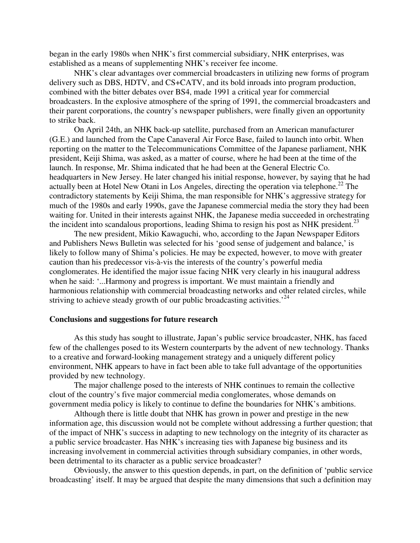began in the early 1980s when NHK's first commercial subsidiary, NHK enterprises, was established as a means of supplementing NHK's receiver fee income.

NHK's clear advantages over commercial broadcasters in utilizing new forms of program delivery such as DBS, HDTV, and CS+CATV, and its bold inroads into program production, combined with the bitter debates over BS4, made 1991 a critical year for commercial broadcasters. In the explosive atmosphere of the spring of 1991, the commercial broadcasters and their parent corporations, the country's newspaper publishers, were finally given an opportunity to strike back.

On April 24th, an NHK back-up satellite, purchased from an American manufacturer (G.E.) and launched from the Cape Canaveral Air Force Base, failed to launch into orbit. When reporting on the matter to the Telecommunications Committee of the Japanese parliament, NHK president, Keiji Shima, was asked, as a matter of course, where he had been at the time of the launch. In response, Mr. Shima indicated that he had been at the General Electric Co. headquarters in New Jersey. He later changed his initial response, however, by saying that he had actually been at Hotel New Otani in Los Angeles, directing the operation via telephone.<sup>22</sup> The contradictory statements by Keiji Shima, the man responsible for NHK's aggressive strategy for much of the 1980s and early 1990s, gave the Japanese commercial media the story they had been waiting for. United in their interests against NHK, the Japanese media succeeded in orchestrating the incident into scandalous proportions, leading Shima to resign his post as NHK president.<sup>23</sup>

The new president, Mikio Kawaguchi, who, according to the Japan Newspaper Editors and Publishers News Bulletin was selected for his 'good sense of judgement and balance,' is likely to follow many of Shima's policies. He may be expected, however, to move with greater caution than his predecessor vis-à-vis the interests of the country's powerful media conglomerates. He identified the major issue facing NHK very clearly in his inaugural address when he said: '...Harmony and progress is important. We must maintain a friendly and harmonious relationship with commercial broadcasting networks and other related circles, while striving to achieve steady growth of our public broadcasting activities.<sup>24</sup>

#### **Conclusions and suggestions for future research**

As this study has sought to illustrate, Japan's public service broadcaster, NHK, has faced few of the challenges posed to its Western counterparts by the advent of new technology. Thanks to a creative and forward-looking management strategy and a uniquely different policy environment, NHK appears to have in fact been able to take full advantage of the opportunities provided by new technology.

The major challenge posed to the interests of NHK continues to remain the collective clout of the country's five major commercial media conglomerates, whose demands on government media policy is likely to continue to define the boundaries for NHK's ambitions.

Although there is little doubt that NHK has grown in power and prestige in the new information age, this discussion would not be complete without addressing a further question; that of the impact of NHK's success in adapting to new technology on the integrity of its character as a public service broadcaster. Has NHK's increasing ties with Japanese big business and its increasing involvement in commercial activities through subsidiary companies, in other words, been detrimental to its character as a public service broadcaster?

Obviously, the answer to this question depends, in part, on the definition of 'public service broadcasting' itself. It may be argued that despite the many dimensions that such a definition may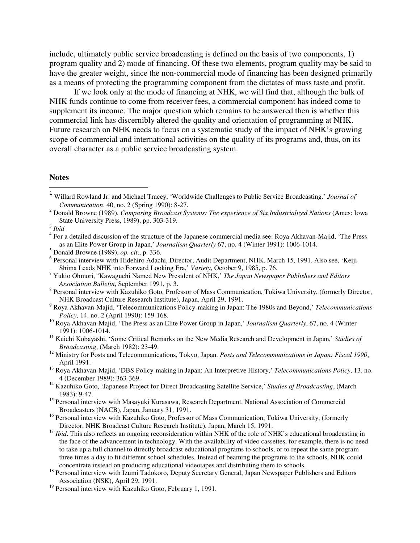include, ultimately public service broadcasting is defined on the basis of two components, 1) program quality and 2) mode of financing. Of these two elements, program quality may be said to have the greater weight, since the non-commercial mode of financing has been designed primarily as a means of protecting the programming component from the dictates of mass taste and profit.

If we look only at the mode of financing at NHK, we will find that, although the bulk of NHK funds continue to come from receiver fees, a commercial component has indeed come to supplement its income. The major question which remains to be answered then is whether this commercial link has discernibly altered the quality and orientation of programming at NHK. Future research on NHK needs to focus on a systematic study of the impact of NHK's growing scope of commercial and international activities on the quality of its programs and, thus, on its overall character as a public service broadcasting system.

#### **Notes**

 $\overline{a}$ 

<sup>1</sup> Willard Rowland Jr. and Michael Tracey, 'Worldwide Challenges to Public Service Broadcasting.' *Journal of Communication*, 40, no. 2 (Spring 1990): 8-27.

<sup>2</sup> Donald Browne (1989), *Comparing Broadcast Systems: The experience of Six Industrialized Nations* (Ames: Iowa State University Press, 1989), pp. 303-319.

<sup>3</sup> *Ibid* 

<sup>&</sup>lt;sup>4</sup> For a detailed discussion of the structure of the Japanese commercial media see: Roya Akhavan-Majid, 'The Press as an Elite Power Group in Japan,' *Journalism Quarterly* 67, no. 4 (Winter 1991): 1006-1014.

<sup>5</sup> Donald Browne (1989), *op. cit*., p. 336.

<sup>&</sup>lt;sup>6</sup> Personal interview with Hidehiro Adachi, Director, Audit Department, NHK. March 15, 1991. Also see, 'Keiji Shima Leads NHK into Forward Looking Era,' *Variety*, October 9, 1985, p. 76.

<sup>7</sup> Yukio Ohmori, 'Kawaguchi Named New President of NHK,' *The Japan Newspaper Publishers and Editors Association Bulletin*, September 1991, p. 3.

<sup>&</sup>lt;sup>8</sup> Personal interview with Kazuhiko Goto, Professor of Mass Communication, Tokiwa University, (formerly Director, NHK Broadcast Culture Research Institute), Japan, April 29, 1991.

<sup>9</sup> Roya Akhavan-Majid, 'Telecommunications Policy-making in Japan: The 1980s and Beyond,' *Telecommunications Policy,* 14, no. 2 (April 1990): 159-168.

<sup>10</sup> Roya Akhavan-Majid, 'The Press as an Elite Power Group in Japan,' *Journalism Quarterly*, 67, no. 4 (Winter 1991): 1006-1014.

<sup>&</sup>lt;sup>11</sup> Kuichi Kobayashi, 'Some Critical Remarks on the New Media Research and Development in Japan,' Studies of *Broadcasting*, (March 1982): 23-49.

<sup>12</sup> Ministry for Posts and Telecommunications, Tokyo, Japan. *Posts and Telecommunications in Japan: Fiscal 1990*, April 1991.

<sup>13</sup> Roya Akhavan-Majid, 'DBS Policy-making in Japan: An Interpretive History,' *Telecommunications Policy*, 13, no. 4 (December 1989): 363-369.

<sup>&</sup>lt;sup>14</sup> Kazuhiko Goto, 'Japanese Project for Direct Broadcasting Satellite Service,' *Studies of Broadcasting*, (March 1983): 9-47.

<sup>&</sup>lt;sup>15</sup> Personal interview with Masayuki Kurasawa, Research Department, National Association of Commercial Broadcasters (NACB), Japan, January 31, 1991.

<sup>&</sup>lt;sup>16</sup> Personal interview with Kazuhiko Goto, Professor of Mass Communication, Tokiwa University, (formerly Director, NHK Broadcast Culture Research Institute), Japan, March 15, 1991.

<sup>&</sup>lt;sup>17</sup> *Ibid*. This also reflects an ongoing reconsideration within NHK of the role of NHK's educational broadcasting in the face of the advancement in technology. With the availability of video cassettes, for example, there is no need to take up a full channel to directly broadcast educational programs to schools, or to repeat the same program three times a day to fit different school schedules. Instead of beaming the programs to the schools, NHK could concentrate instead on producing educational videotapes and distributing them to schools.

<sup>&</sup>lt;sup>18</sup> Personal interview with Izumi Tadokoro, Deputy Secretary General, Japan Newspaper Publishers and Editors Association (NSK), April 29, 1991.

<sup>&</sup>lt;sup>19</sup> Personal interview with Kazuhiko Goto, February 1, 1991.